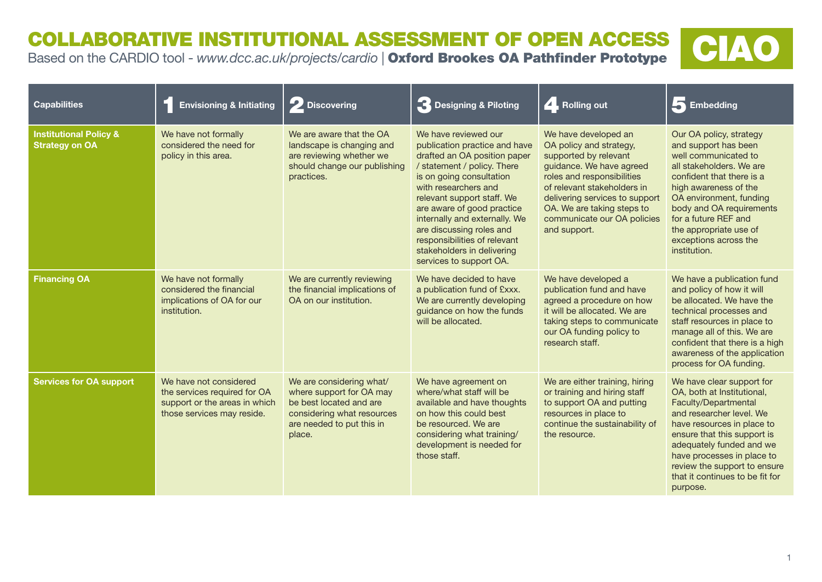COLLABORATIVE INSTITUTIONAL ASSESSMENT OF OPEN ACCESS **COLLABORATIVE INSTITUTIONAL ASSESSMENT OF OPEN ACCESS CARDIO tool - www.dcc.ac.uk/projects/cardio | Oxford Brookes OA Pathfinder Prototype CIAO** 



| <b>Capabilities</b>                                        | <b>Envisioning &amp; Initiating</b>                                                                                   | 2 Discovering                                                                                                                                        | B Designing & Piloting                                                                                                                                                                                                                                                                                                                                                                     | A. Rolling out                                                                                                                                                                                                                                                                   | 5 Embedding                                                                                                                                                                                                                                                                                                       |
|------------------------------------------------------------|-----------------------------------------------------------------------------------------------------------------------|------------------------------------------------------------------------------------------------------------------------------------------------------|--------------------------------------------------------------------------------------------------------------------------------------------------------------------------------------------------------------------------------------------------------------------------------------------------------------------------------------------------------------------------------------------|----------------------------------------------------------------------------------------------------------------------------------------------------------------------------------------------------------------------------------------------------------------------------------|-------------------------------------------------------------------------------------------------------------------------------------------------------------------------------------------------------------------------------------------------------------------------------------------------------------------|
| <b>Institutional Policy &amp;</b><br><b>Strategy on OA</b> | We have not formally<br>considered the need for<br>policy in this area.                                               | We are aware that the OA<br>landscape is changing and<br>are reviewing whether we<br>should change our publishing<br>practices.                      | We have reviewed our<br>publication practice and have<br>drafted an OA position paper<br>/ statement / policy. There<br>is on going consultation<br>with researchers and<br>relevant support staff. We<br>are aware of good practice<br>internally and externally. We<br>are discussing roles and<br>responsibilities of relevant<br>stakeholders in delivering<br>services to support OA. | We have developed an<br>OA policy and strategy,<br>supported by relevant<br>guidance. We have agreed<br>roles and responsibilities<br>of relevant stakeholders in<br>delivering services to support<br>OA. We are taking steps to<br>communicate our OA policies<br>and support. | Our OA policy, strategy<br>and support has been<br>well communicated to<br>all stakeholders. We are<br>confident that there is a<br>high awareness of the<br>OA environment, funding<br>body and OA requirements<br>for a future REF and<br>the appropriate use of<br>exceptions across the<br>institution.       |
| <b>Financing OA</b>                                        | We have not formally<br>considered the financial<br>implications of OA for our<br>institution.                        | We are currently reviewing<br>the financial implications of<br>OA on our institution.                                                                | We have decided to have<br>a publication fund of £xxx.<br>We are currently developing<br>guidance on how the funds<br>will be allocated.                                                                                                                                                                                                                                                   | We have developed a<br>publication fund and have<br>agreed a procedure on how<br>it will be allocated. We are<br>taking steps to communicate<br>our OA funding policy to<br>research staff.                                                                                      | We have a publication fund<br>and policy of how it will<br>be allocated. We have the<br>technical processes and<br>staff resources in place to<br>manage all of this. We are<br>confident that there is a high<br>awareness of the application<br>process for OA funding.                                         |
| <b>Services for OA support</b>                             | We have not considered<br>the services required for OA<br>support or the areas in which<br>those services may reside. | We are considering what/<br>where support for OA may<br>be best located and are<br>considering what resources<br>are needed to put this in<br>place. | We have agreement on<br>where/what staff will be<br>available and have thoughts<br>on how this could best<br>be resourced. We are<br>considering what training/<br>development is needed for<br>those staff.                                                                                                                                                                               | We are either training, hiring<br>or training and hiring staff<br>to support OA and putting<br>resources in place to<br>continue the sustainability of<br>the resource.                                                                                                          | We have clear support for<br>OA, both at Institutional,<br>Faculty/Departmental<br>and researcher level. We<br>have resources in place to<br>ensure that this support is<br>adequately funded and we<br>have processes in place to<br>review the support to ensure<br>that it continues to be fit for<br>purpose. |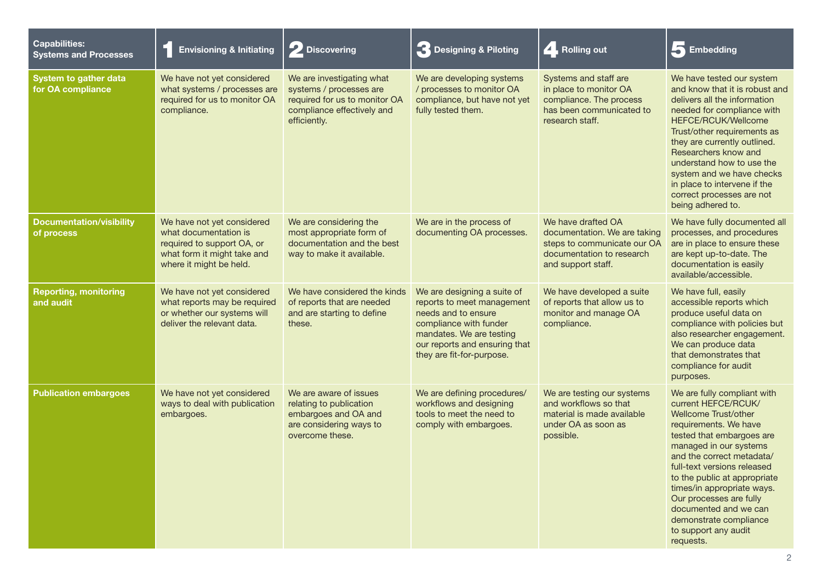| <b>Capabilities:</b><br><b>Systems and Processes</b> | <b>Envisioning &amp; Initiating</b>                                                                                                         | 2 Discovering                                                                                                                       | <b>3</b> Designing & Piloting                                                                                                                                                                        | A. Rolling out                                                                                                                       | Embedding                                                                                                                                                                                                                                                                                                                                                                                               |
|------------------------------------------------------|---------------------------------------------------------------------------------------------------------------------------------------------|-------------------------------------------------------------------------------------------------------------------------------------|------------------------------------------------------------------------------------------------------------------------------------------------------------------------------------------------------|--------------------------------------------------------------------------------------------------------------------------------------|---------------------------------------------------------------------------------------------------------------------------------------------------------------------------------------------------------------------------------------------------------------------------------------------------------------------------------------------------------------------------------------------------------|
| System to gather data<br>for OA compliance           | We have not yet considered<br>what systems / processes are<br>required for us to monitor OA<br>compliance.                                  | We are investigating what<br>systems / processes are<br>required for us to monitor OA<br>compliance effectively and<br>efficiently. | We are developing systems<br>/ processes to monitor OA<br>compliance, but have not yet<br>fully tested them.                                                                                         | Systems and staff are<br>in place to monitor OA<br>compliance. The process<br>has been communicated to<br>research staff.            | We have tested our system<br>and know that it is robust and<br>delivers all the information<br>needed for compliance with<br><b>HEFCE/RCUK/Wellcome</b><br>Trust/other requirements as<br>they are currently outlined.<br>Researchers know and<br>understand how to use the<br>system and we have checks<br>in place to intervene if the<br>correct processes are not<br>being adhered to.              |
| <b>Documentation/visibility</b><br>of process        | We have not yet considered<br>what documentation is<br>required to support OA, or<br>what form it might take and<br>where it might be held. | We are considering the<br>most appropriate form of<br>documentation and the best<br>way to make it available.                       | We are in the process of<br>documenting OA processes.                                                                                                                                                | We have drafted OA<br>documentation. We are taking<br>steps to communicate our OA<br>documentation to research<br>and support staff. | We have fully documented all<br>processes, and procedures<br>are in place to ensure these<br>are kept up-to-date. The<br>documentation is easily<br>available/accessible.                                                                                                                                                                                                                               |
| <b>Reporting, monitoring</b><br>and audit            | We have not yet considered<br>what reports may be required<br>or whether our systems will<br>deliver the relevant data.                     | We have considered the kinds<br>of reports that are needed<br>and are starting to define<br>these.                                  | We are designing a suite of<br>reports to meet management<br>needs and to ensure<br>compliance with funder<br>mandates. We are testing<br>our reports and ensuring that<br>they are fit-for-purpose. | We have developed a suite<br>of reports that allow us to<br>monitor and manage OA<br>compliance.                                     | We have full, easily<br>accessible reports which<br>produce useful data on<br>compliance with policies but<br>also researcher engagement.<br>We can produce data<br>that demonstrates that<br>compliance for audit<br>purposes.                                                                                                                                                                         |
| <b>Publication embargoes</b>                         | We have not yet considered<br>ways to deal with publication<br>embargoes.                                                                   | We are aware of issues<br>relating to publication<br>embargoes and OA and<br>are considering ways to<br>overcome these.             | We are defining procedures/<br>workflows and designing<br>tools to meet the need to<br>comply with embargoes.                                                                                        | We are testing our systems<br>and workflows so that<br>material is made available<br>under OA as soon as<br>possible.                | We are fully compliant with<br>current HEFCE/RCUK/<br>Wellcome Trust/other<br>requirements. We have<br>tested that embargoes are<br>managed in our systems<br>and the correct metadata/<br>full-text versions released<br>to the public at appropriate<br>times/in appropriate ways.<br>Our processes are fully<br>documented and we can<br>demonstrate compliance<br>to support any audit<br>requests. |